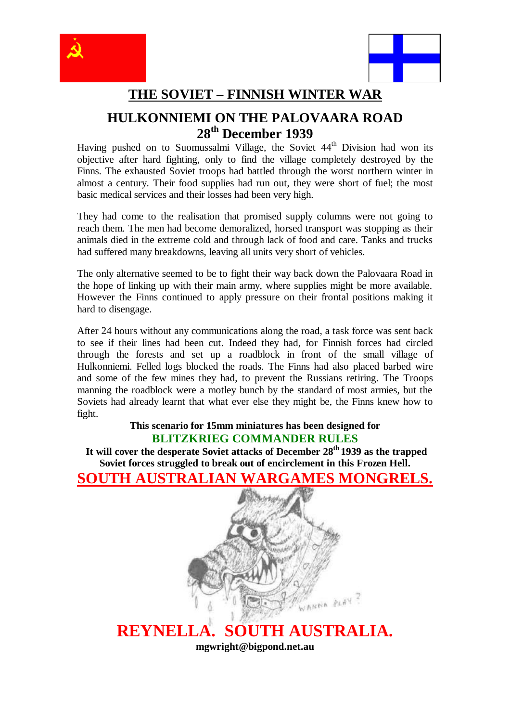



## **THE SOVIET – FINNISH WINTER WAR**

## **HULKONNIEMI ON THE PALOVAARA ROAD 28th December 1939**

Having pushed on to Suomussalmi Village, the Soviet 44<sup>th</sup> Division had won its objective after hard fighting, only to find the village completely destroyed by the Finns. The exhausted Soviet troops had battled through the worst northern winter in almost a century. Their food supplies had run out, they were short of fuel; the most basic medical services and their losses had been very high.

They had come to the realisation that promised supply columns were not going to reach them. The men had become demoralized, horsed transport was stopping as their animals died in the extreme cold and through lack of food and care. Tanks and trucks had suffered many breakdowns, leaving all units very short of vehicles.

The only alternative seemed to be to fight their way back down the Palovaara Road in the hope of linking up with their main army, where supplies might be more available. However the Finns continued to apply pressure on their frontal positions making it hard to disengage.

After 24 hours without any communications along the road, a task force was sent back to see if their lines had been cut. Indeed they had, for Finnish forces had circled through the forests and set up a roadblock in front of the small village of Hulkonniemi. Felled logs blocked the roads. The Finns had also placed barbed wire and some of the few mines they had, to prevent the Russians retiring. The Troops manning the roadblock were a motley bunch by the standard of most armies, but the Soviets had already learnt that what ever else they might be, the Finns knew how to fight.

### **This scenario for 15mm miniatures has been designed for BLITZKRIEG COMMANDER RULES**

 **It will cover the desperate Soviet attacks of December 28th 1939 as the trapped Soviet forces struggled to break out of encirclement in this Frozen Hell.**





# **REYNELLA. SOUTH AUSTRALIA.**

**mgwright@bigpond.net.au**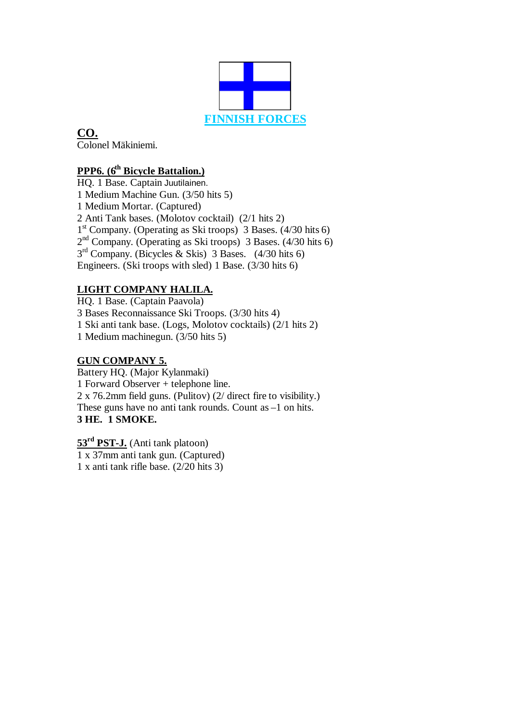

**CO.**  Colonel Mäkiniemi.

## **PPP6. (6th Bicycle Battalion.)**

HQ. 1 Base. Captain Juutilainen. 1 Medium Machine Gun. (3/50 hits 5) 1 Medium Mortar. (Captured) 2 Anti Tank bases. (Molotov cocktail) (2/1 hits 2) 1 st Company. (Operating as Ski troops) 3 Bases. (4/30 hits 6) 2<sup>nd</sup> Company. (Operating as Ski troops) 3 Bases. (4/30 hits 6) 3 rd Company. (Bicycles & Skis) 3 Bases. (4/30 hits 6) Engineers. (Ski troops with sled) 1 Base. (3/30 hits 6)

### **LIGHT COMPANY HALILA.**

HQ. 1 Base. (Captain Paavola) 3 Bases Reconnaissance Ski Troops. (3/30 hits 4) 1 Ski anti tank base. (Logs, Molotov cocktails) (2/1 hits 2) 1 Medium machinegun. (3/50 hits 5)

### **GUN COMPANY 5.**

Battery HQ. (Major Kylanmaki) 1 Forward Observer + telephone line. 2 x 76.2mm field guns. (Pulitov) (2/ direct fire to visibility.) These guns have no anti tank rounds. Count as –1 on hits. **3 HE. 1 SMOKE.**

**53rd PST-J.** (Anti tank platoon) 1 x 37mm anti tank gun. (Captured) 1 x anti tank rifle base. (2/20 hits 3)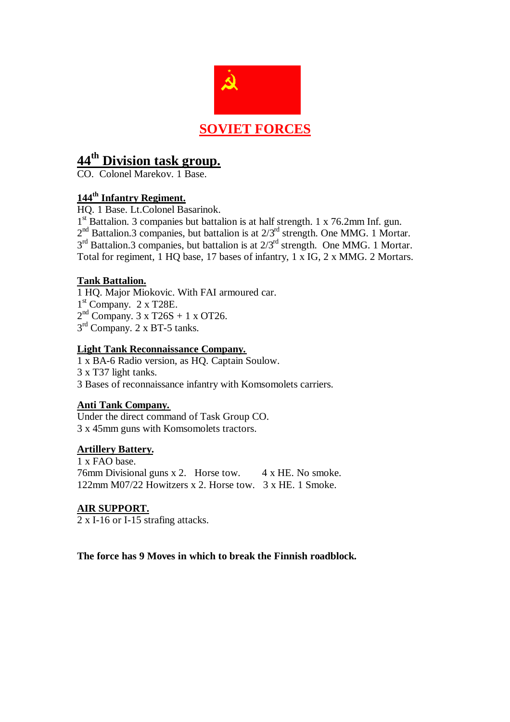

# **44th Division task group.**

CO. Colonel Marekov. 1 Base.

### **144th Infantry Regiment.**

HQ. 1 Base. Lt.Colonel Basarinok.

1<sup>st</sup> Battalion. 3 companies but battalion is at half strength. 1 x 76.2mm Inf. gun.  $2<sup>nd</sup>$  Battalion.3 companies, but battalion is at  $2/3<sup>rd</sup>$  strength. One MMG. 1 Mortar.  $3<sup>rd</sup>$  Battalion.3 companies, but battalion is at  $2/3<sup>rd</sup>$  strength. One MMG. 1 Mortar. Total for regiment, 1 HQ base, 17 bases of infantry, 1 x IG, 2 x MMG. 2 Mortars.

### **Tank Battalion.**

1 HQ. Major Miokovic. With FAI armoured car.

1<sup>st</sup> Company. 2 x T28E.

 $2<sup>nd</sup>$  Company. 3 x T26S + 1 x OT26.

3<sup>rd</sup> Company. 2 x BT-5 tanks.

### **Light Tank Reconnaissance Company.**

1 x BA-6 Radio version, as HQ. Captain Soulow. 3 x T37 light tanks.

3 Bases of reconnaissance infantry with Komsomolets carriers.

### **Anti Tank Company.**

Under the direct command of Task Group CO. 3 x 45mm guns with Komsomolets tractors.

### **Artillery Battery.**

1 x FAO base. 76mm Divisional guns  $x$  2. Horse tow.  $4 \times$  HE. No smoke. 122mm M07/22 Howitzers x 2. Horse tow. 3 x HE. 1 Smoke.

### **AIR SUPPORT.**

2 x I-16 or I-15 strafing attacks.

**The force has 9 Moves in which to break the Finnish roadblock.**